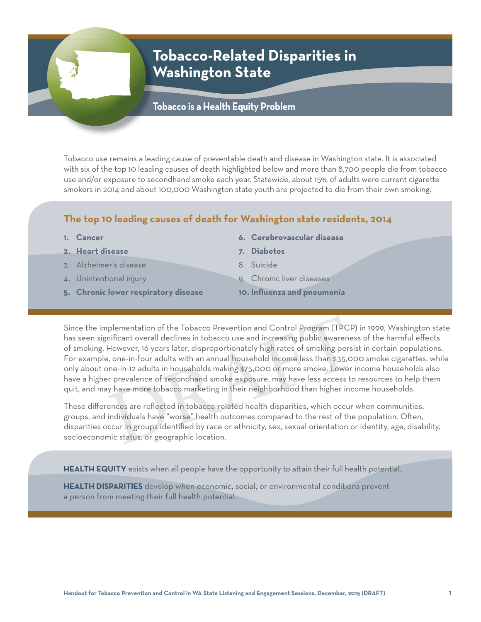# **Tobacco-Related Disparities in Washington State**

## **Tobacco is a Health Equity Problem**

Tobacco use remains a leading cause of preventable death and disease in Washington state. It is associated with six of the top 10 leading causes of death highlighted below and more than 8,700 people die from tobacco use and/or exposure to secondhand smoke each year. Statewide, about 15% of adults were current cigarette smokers in 2014 and about 100,000 Washington state youth are projected to die from their own smoking.<sup>i</sup>

### **The top 10 leading causes of death for Washington state residents, 2014**

- **1. Cancer**
- **2. Heart disease**
- 3. Alzheimer's disease
- 4. Unintentional injury
- **5. Chronic lower respiratory disease**
- **6. Cerebrovascular disease**
- **7. Diabetes**
- 8. Suicide
- 9. Chronic liver diseases
- 10. Influenza and pneumonia

plementation of the Tobacco Prevention and Control Program (TPCP)<br>nificant overall declines in tobacco use and increasing public awarenes<br>However, 16 years later, disproportionately high rates of smoking persis<br>, one-in-fo Since the implementation of the Tobacco Prevention and Control Program (TPCP) in 1999, Washington state has seen significant overall declines in tobacco use and increasing public awareness of the harmful effects of smoking. However, 16 years later, disproportionately high rates of smoking persist in certain populations. For example, one-in-four adults with an annual household income less than \$35,000 smoke cigarettes, while only about one-in-12 adults in households making \$75,000 or more smoke. Lower income households also have a higher prevalence of secondhand smoke exposure, may have less access to resources to help them quit, and may have more tobacco marketing in their neighborhood than higher income households.

These differences are reflected in tobacco-related health disparities, which occur when communities, groups, and individuals have "worse" health outcomes compared to the rest of the population. Often, disparities occur in groups identified by race or ethnicity, sex, sexual orientation or identity, age, disability, socioeconomic status, or geographic location.

HEALTH EQUITY exists when all people have the opportunity to attain their full health potential.

**HEALTH DISPARITIES** develop when economic, social, or environmental conditions prevent a person from meeting their full health potential.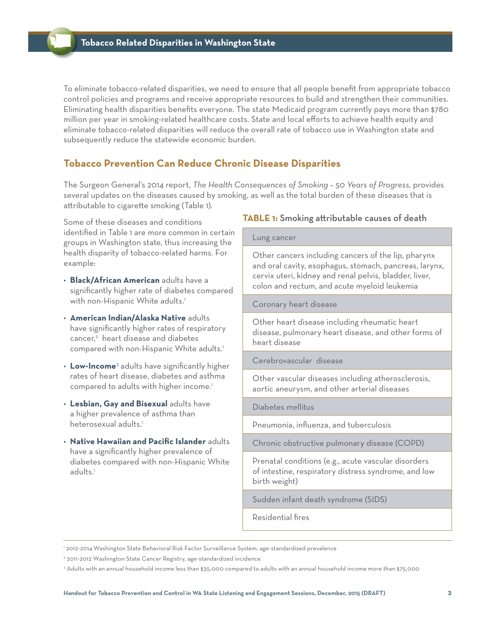To eliminate tobacco-related disparities, we need to ensure that all people benefit from appropriate tobacco control policies and programs and receive appropriate resources to build and strengthen their communities. Eliminating health disparities benefits everyone. The state Medicaid program currently pays more than \$780 million per year in smoking-related healthcare costs. State and local efforts to achieve health equity and eliminate tobacco-related disparities will reduce the overall rate of tobacco use in Washington state and subsequently reduce the statewide economic burden.

### **Tobacco Prevention Can Reduce Chronic Disease Disparities**

The Surgeon General's 2014 report, *The Health Consequences of Smoking – 50 Years of Progress*, provides several updates on the diseases caused by smoking, as well as the total burden of these diseases that is attributable to cigarette smoking (Table 1).

Some of these diseases and conditions identified in Table 1 are more common in certain groups in Washington state, thus increasing the health disparity of tobacco-related harms. For example:

- **Black/African American** adults have a significantly higher rate of diabetes compared with non-Hispanic White adults.<sup>1</sup>
- **American Indian/Alaska Native** adults have significantly higher rates of respiratory cancer,<sup>2</sup> heart disease and diabetes compared with non-Hispanic White adults.<sup>1</sup>
- Low-Income<sup>3</sup> adults have significantly higher rates of heart disease, diabetes and asthma compared to adults with higher income.<sup>1</sup>
- **Lesbian, Gay and Bisexual** adults have a higher prevalence of asthma than heterosexual adults.<sup>1</sup>
- **Native Hawaiian and Pacific Islander** adults have a significantly higher prevalence of diabetes compared with non-Hispanic White adults.<sup>1</sup>

### **TABLE 1:** Smoking attributable causes of death

#### Lung cancer

 Other cancers including cancers of the lip, pharynx and oral cavity, esophagus, stomach, pancreas, larynx, cervix uteri, kidney and renal pelvis, bladder, liver, colon and rectum, and acute myeloid leukemia

Coronary heart disease

 Other heart disease including rheumatic heart disease, pulmonary heart disease, and other forms of heart disease

Cerebrovascular disease

 Other vascular diseases including atherosclerosis, aortic aneurysm, and other arterial diseases

Diabetes mellitus

Pneumonia, influenza, and tuberculosis

Chronic obstructive pulmonary disease (COPD)

 Prenatal conditions (e.g., acute vascular disorders of intestine, respiratory distress syndrome, and low birth weight)

Sudden infant death syndrome (SIDS)

Residential fires

<sup>1</sup> 2012-2014 Washington State Behavioral Risk Factor Surveillance System, age-standardized prevalence

<sup>2</sup> 2011-2012 Washington State Cancer Registry, age-standardized incidence

<sup>3</sup> Adults with an annual household income less than \$35,000 compared to adults with an annual household income more than \$75,000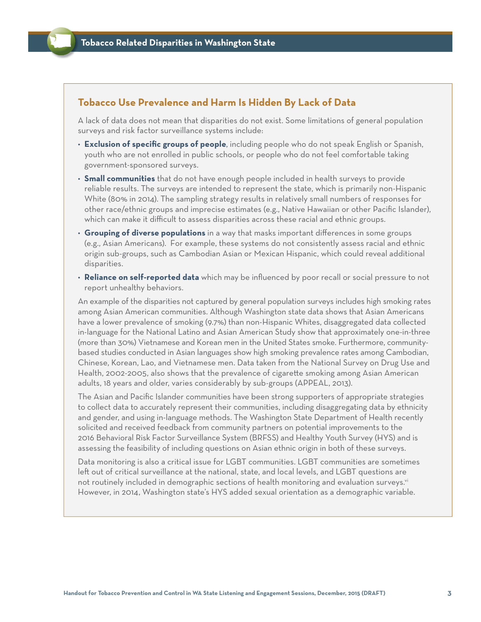### **Tobacco Use Prevalence and Harm Is Hidden By Lack of Data**

A lack of data does not mean that disparities do not exist. Some limitations of general population surveys and risk factor surveillance systems include:

- **Exclusion of specific groups of people**, including people who do not speak English or Spanish, youth who are not enrolled in public schools, or people who do not feel comfortable taking government-sponsored surveys.
- **Small communities** that do not have enough people included in health surveys to provide reliable results. The surveys are intended to represent the state, which is primarily non-Hispanic White (80% in 2014). The sampling strategy results in relatively small numbers of responses for other race/ethnic groups and imprecise estimates (e.g., Native Hawaiian or other Pacific Islander), which can make it difficult to assess disparities across these racial and ethnic groups.
- Grouping of diverse populations in a way that masks important differences in some groups (e.g., Asian Americans). For example, these systems do not consistently assess racial and ethnic origin sub-groups, such as Cambodian Asian or Mexican Hispanic, which could reveal additional disparities.
- **Reliance on self-reported data** which may be influenced by poor recall or social pressure to not report unhealthy behaviors.

An example of the disparities not captured by general population surveys includes high smoking rates among Asian American communities. Although Washington state data shows that Asian Americans have a lower prevalence of smoking (9.7%) than non-Hispanic Whites, disaggregated data collected in-language for the National Latino and Asian American Study show that approximately one-in-three (more than 30%) Vietnamese and Korean men in the United States smoke. Furthermore, communitybased studies conducted in Asian languages show high smoking prevalence rates among Cambodian, Chinese, Korean, Lao, and Vietnamese men. Data taken from the National Survey on Drug Use and Health, 2002-2005, also shows that the prevalence of cigarette smoking among Asian American adults, 18 years and older, varies considerably by sub-groups (APPEAL, 2013).

The Asian and Pacific Islander communities have been strong supporters of appropriate strategies to collect data to accurately represent their communities, including disaggregating data by ethnicity and gender, and using in-language methods. The Washington State Department of Health recently solicited and received feedback from community partners on potential improvements to the 2016 Behavioral Risk Factor Surveillance System (BRFSS) and Healthy Youth Survey (HYS) and is assessing the feasibility of including questions on Asian ethnic origin in both of these surveys.

Data monitoring is also a critical issue for LGBT communities. LGBT communities are sometimes left out of critical surveillance at the national, state, and local levels, and LGBT questions are not routinely included in demographic sections of health monitoring and evaluation surveys.<sup>vi</sup> However, in 2014, Washington state's HYS added sexual orientation as a demographic variable.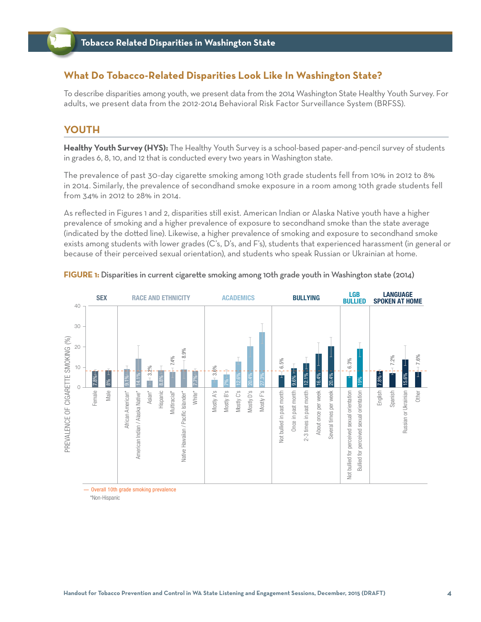### **What Do Tobacco-Related Disparities Look Like In Washington State?**

To describe disparities among youth, we present data from the 2014 Washington State Healthy Youth Survey. For adults, we present data from the 2012-2014 Behavioral Risk Factor Surveillance System (BRFSS).

### **YOUTH**

**Healthy Youth Survey (HYS):** The Healthy Youth Survey is a school-based paper-and-pencil survey of students in grades 6, 8, 10, and 12 that is conducted every two years in Washington state.

The prevalence of past 30-day cigarette smoking among 10th grade students fell from 10% in 2012 to 8% in 2014. Similarly, the prevalence of secondhand smoke exposure in a room among 10th grade students fell from 34% in 2012 to 28% in 2014.

As refl ected in Figures 1 and 2, disparities still exist. American Indian or Alaska Native youth have a higher prevalence of smoking and a higher prevalence of exposure to secondhand smoke than the state average (indicated by the dotted line). Likewise, a higher prevalence of smoking and exposure to secondhand smoke exists among students with lower grades (C's, D's, and F's), students that experienced harassment (in general or because of their perceived sexual orientation), and students who speak Russian or Ukrainian at home.

#### **LGB RACE AND ETHNICITY LANGUAGE BULLIED SEX BULLYING ACADEMICS SPOKEN AT HOME** 40 30 PREVALENCE OF CIGARETTE SMOKING (%) PREVALENCE OF CIGARETTE SMOKING (%) 20 8.9% 7.4% 7.6%7.2% 6.3% 6.5% 10 3.2% 3.6% ⊣ 6% <del>ו.</del>  $7.8% \leftarrow$ 14.1% 12.6% 20.4% 27.3% 12.1% 16.4% 20.4% 15.6% Female 7.8%<br>Male 8%<br>American Indian / Alaska Native\* 14.1'9<br>Asian\* Hispanic Multiracial\*<br>Hispanic Hawaiian / Pacific Islander\* Hawaiian / Pacific Islander\* 1.7%<br>Notive Hawaiian / Pacific Islander\* 1.7% 7.7% Once in past month 9.6% English 7.8% 19% 7%  $\Omega$ Mostly A's Mostly B's Mostly C's Mostly D's Mostly F's Spanish Male vot bullied in past month Once in past month 2-3 times in past month English Not bullied in past month 2-3 times in past month About once per week About once per week Several times per week bullied for perceived sexual orientation Not bullied for perceived sexual orientation perceived sexual orientation Bullied for perceived sexual orientation Russian or Ukrainian Russian or Ukrainian Other Several times per week **Bullied for** Not

#### **FIGURE 1:** Disparities in current cigarette smoking among 10th grade youth in Washington state (2014)

Overall 10th grade smoking prevalence

\*Non-Hispanic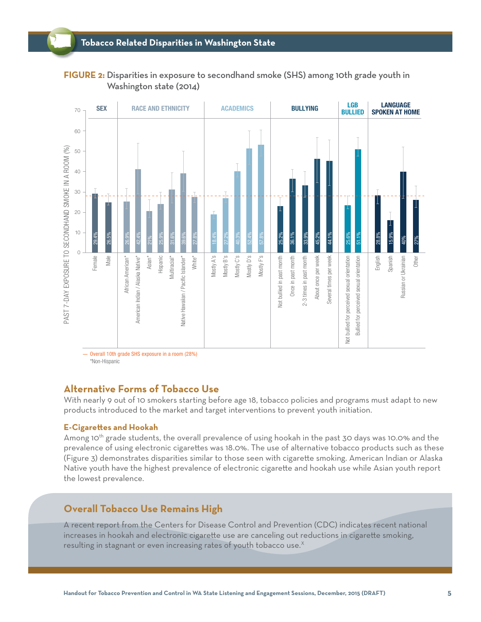### **FIGURE 2:** Disparities in exposure to secondhand smoke (SHS) among 10th grade youth in Washington state (2014)



\*Non-Hispanic

### **Alternative Forms of Tobacco Use**

With nearly 9 out of 10 smokers starting before age 18, tobacco policies and programs must adapt to new products introduced to the market and target interventions to prevent youth initiation.

#### **E-Cigarettes and Hookah**

Among 10<sup>th</sup> grade students, the overall prevalence of using hookah in the past 30 days was 10.0% and the prevalence of using electronic cigarettes was 18.0%. The use of alternative tobacco products such as these (Figure 3) demonstrates disparities similar to those seen with cigarette smoking. American Indian or Alaska Native youth have the highest prevalence of electronic cigarette and hookah use while Asian youth report the lowest prevalence.

### **Overall Tobacco Use Remains High**

A recent report from the Centers for Disease Control and Prevention (CDC) indicates recent national increases in hookah and electronic cigarette use are canceling out reductions in cigarette smoking, resulting in stagnant or even increasing rates of youth tobacco use. $^{\chi}$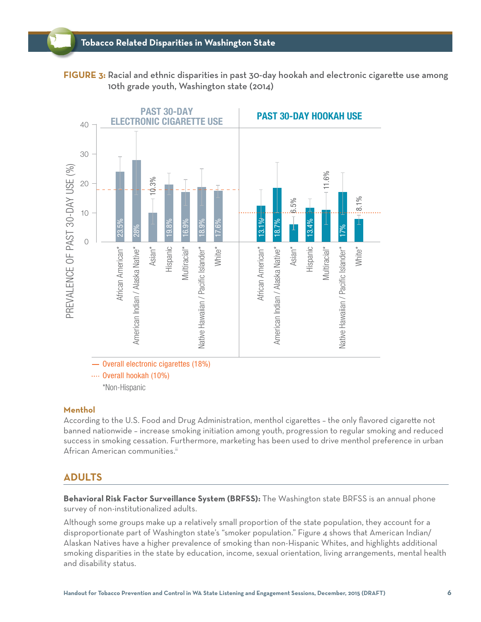**FIGURE 3:** Racial and ethnic disparities in past 30-day hookah and electronic cigarette use among 10th grade youth, Washington state (2014)



#### **Menthol**

According to the U.S. Food and Drug Administration, menthol cigarettes - the only flavored cigarette not banned nationwide – increase smoking initiation among youth, progression to regular smoking and reduced success in smoking cessation. Furthermore, marketing has been used to drive menthol preference in urban African American communities.<sup>ii</sup>

### **ADULTS**

**Behavioral Risk Factor Surveillance System (BRFSS):** The Washington state BRFSS is an annual phone survey of non-institutionalized adults.

Although some groups make up a relatively small proportion of the state population, they account for a disproportionate part of Washington state's "smoker population." Figure 4 shows that American Indian/ Alaskan Natives have a higher prevalence of smoking than non-Hispanic Whites, and highlights additional smoking disparities in the state by education, income, sexual orientation, living arrangements, mental health and disability status.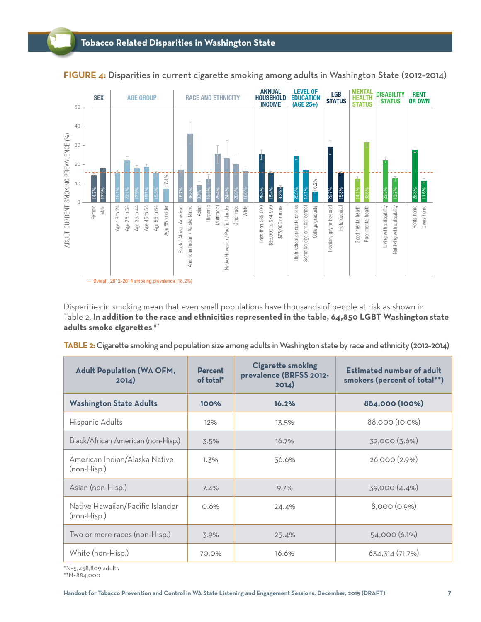

**FIGURE 4:** Disparities in current cigarette smoking among adults in Washington State (2012-2014)

Disparities in smoking mean that even small populations have thousands of people at risk as shown in Table 2. **In addition to the race and ethnicities represented in the table, 64,850 LGBT Washington state**  adults smoke cigarettes.<sup>iii\*</sup>

|  |  | TABLE 2: Cigarette smoking and population size among adults in Washington state by race and ethnicity (2012-2014) |  |
|--|--|-------------------------------------------------------------------------------------------------------------------|--|
|  |  |                                                                                                                   |  |

| <b>Adult Population (WA OFM,</b><br>2014)       | <b>Cigarette smoking</b><br><b>Percent</b><br>prevalence (BRFSS 2012-<br>of total*<br>2014) |       | <b>Estimated number of adult</b><br>smokers (percent of total**) |  |
|-------------------------------------------------|---------------------------------------------------------------------------------------------|-------|------------------------------------------------------------------|--|
| <b>Washington State Adults</b>                  | 100%                                                                                        | 16.2% | 884,000 (100%)                                                   |  |
| Hispanic Adults                                 | 12%                                                                                         | 13.5% | 88,000 (10.0%)                                                   |  |
| Black/African American (non-Hisp.)              | 3.5%                                                                                        | 16.7% | 32,000 (3.6%)                                                    |  |
| American Indian/Alaska Native<br>(non-Hisp.)    | 1.3%                                                                                        | 36.6% | 26,000(2.9%)                                                     |  |
| Asian (non-Hisp.)                               | 7.4%                                                                                        | 9.7%  | 39,000 (4.4%)                                                    |  |
| Native Hawaiian/Pacific Islander<br>(non-Hisp.) | 0.6%                                                                                        | 24.4% | 8,000 (0.9%)                                                     |  |
| Two or more races (non-Hisp.)                   | 3.9%                                                                                        | 25.4% | 54,000 (6.1%)                                                    |  |
| White (non-Hisp.)                               | 70.0%                                                                                       | 16.6% | 634,314 (71.7%)                                                  |  |

\*N=5,458,809 adults

\*\*N=884,000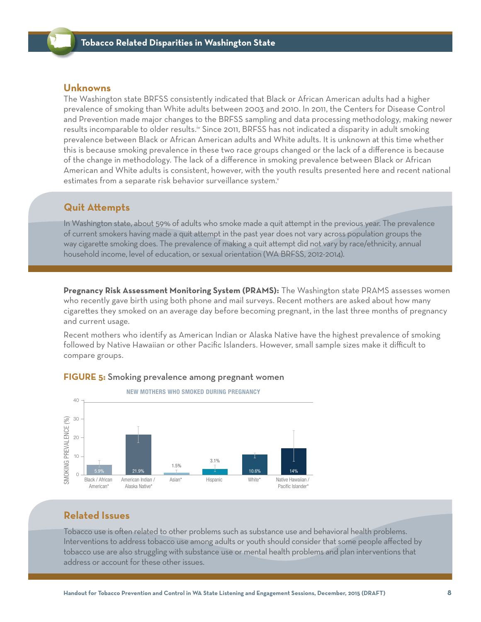### **Unknowns**

The Washington state BRFSS consistently indicated that Black or African American adults had a higher prevalence of smoking than White adults between 2003 and 2010. In 2011, the Centers for Disease Control and Prevention made major changes to the BRFSS sampling and data processing methodology, making newer results incomparable to older results.<sup>iv</sup> Since 2011, BRFSS has not indicated a disparity in adult smoking prevalence between Black or African American adults and White adults. It is unknown at this time whether this is because smoking prevalence in these two race groups changed or the lack of a difference is because of the change in methodology. The lack of a difference in smoking prevalence between Black or African American and White adults is consistent, however, with the youth results presented here and recent national estimates from a separate risk behavior surveillance system.<sup>v</sup>

### **Quit Attempts**

In Washington state, about 59% of adults who smoke made a quit attempt in the previous year. The prevalence of current smokers having made a quit attempt in the past year does not vary across population groups the way cigarette smoking does. The prevalence of making a quit attempt did not vary by race/ethnicity, annual household income, level of education, or sexual orientation (WA BRFSS, 2012-2014).

**Pregnancy Risk Assessment Monitoring System (PRAMS):** The Washington state PRAMS assesses women who recently gave birth using both phone and mail surveys. Recent mothers are asked about how many cigarettes they smoked on an average day before becoming pregnant, in the last three months of pregnancy and current usage.

Recent mothers who identify as American Indian or Alaska Native have the highest prevalence of smoking followed by Native Hawaiian or other Pacific Islanders. However, small sample sizes make it difficult to compare groups.



#### **FIGURE 5:** Smoking prevalence among pregnant women

### **Related Issues**

Tobacco use is often related to other problems such as substance use and behavioral health problems. Interventions to address tobacco use among adults or youth should consider that some people affected by tobacco use are also struggling with substance use or mental health problems and plan interventions that address or account for these other issues.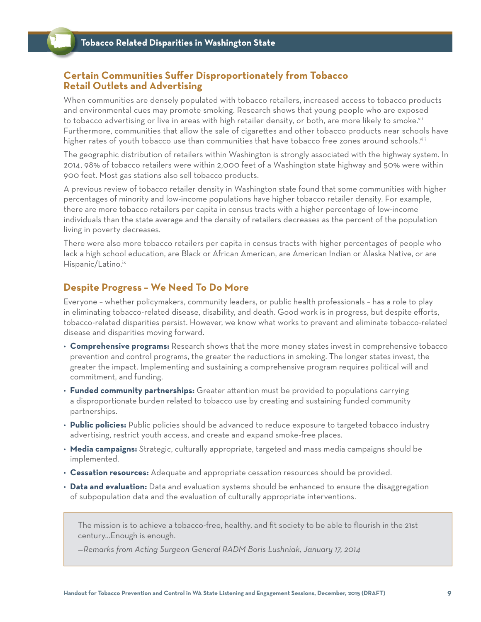### **Certain Communities Suff er Disproportionately from Tobacco Retail Outlets and Advertising**

When communities are densely populated with tobacco retailers, increased access to tobacco products and environmental cues may promote smoking. Research shows that young people who are exposed to tobacco advertising or live in areas with high retailer density, or both, are more likely to smoke.<sup>vii</sup> Furthermore, communities that allow the sale of cigarettes and other tobacco products near schools have higher rates of youth tobacco use than communities that have tobacco free zones around schools.<sup>viii</sup>

The geographic distribution of retailers within Washington is strongly associated with the highway system. In 2014, 98% of tobacco retailers were within 2,000 feet of a Washington state highway and 50% were within 900 feet. Most gas stations also sell tobacco products.

A previous review of tobacco retailer density in Washington state found that some communities with higher percentages of minority and low-income populations have higher tobacco retailer density. For example, there are more tobacco retailers per capita in census tracts with a higher percentage of low-income individuals than the state average and the density of retailers decreases as the percent of the population living in poverty decreases.

There were also more tobacco retailers per capita in census tracts with higher percentages of people who lack a high school education, are Black or African American, are American Indian or Alaska Native, or are Hispanic/Latino.ix

### **Despite Progress – We Need To Do More**

Everyone – whether policymakers, community leaders, or public health professionals – has a role to play in eliminating tobacco-related disease, disability, and death. Good work is in progress, but despite efforts, tobacco-related disparities persist. However, we know what works to prevent and eliminate tobacco-related disease and disparities moving forward.

- **Comprehensive programs:** Research shows that the more money states invest in comprehensive tobacco prevention and control programs, the greater the reductions in smoking. The longer states invest, the greater the impact. Implementing and sustaining a comprehensive program requires political will and commitment, and funding.
- **Funded community partnerships:** Greater attention must be provided to populations carrying a disproportionate burden related to tobacco use by creating and sustaining funded community partnerships.
- **Public policies:** Public policies should be advanced to reduce exposure to targeted tobacco industry advertising, restrict youth access, and create and expand smoke-free places.
- **Media campaigns:** Strategic, culturally appropriate, targeted and mass media campaigns should be implemented.
- **Cessation resources:** Adequate and appropriate cessation resources should be provided.
- **Data and evaluation:** Data and evaluation systems should be enhanced to ensure the disaggregation of subpopulation data and the evaluation of culturally appropriate interventions.

The mission is to achieve a tobacco-free, healthy, and fit society to be able to flourish in the 21st century…Enough is enough.

*—Remarks from Acting Surgeon General RADM Boris Lushniak, January 17, 2014*